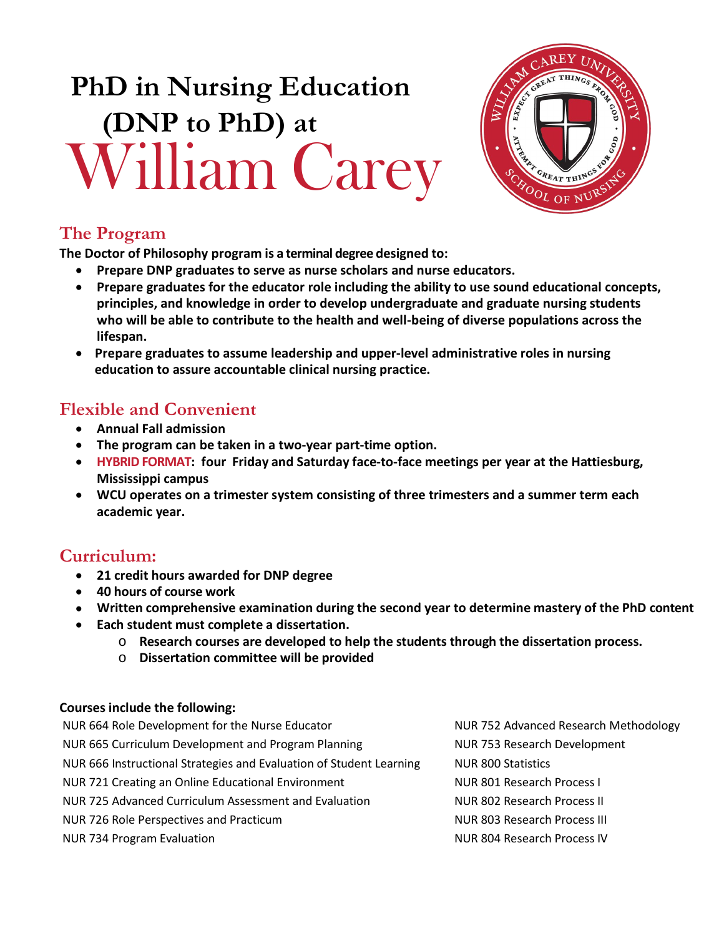# **PhD in Nursing Education (DNP to PhD) at** William Carey



# **The Program**

**The Doctor of Philosophy program is a terminal degree designed to:**

- **Prepare DNP graduates to serve as nurse scholars and nurse educators.**
- **Prepare graduates for the educator role including the ability to use sound educational concepts, principles, and knowledge in order to develop undergraduate and graduate nursing students who will be able to contribute to the health and well-being of diverse populations across the lifespan.**
- **Prepare graduates to assume leadership and upper-level administrative roles in nursing education to assure accountable clinical nursing practice.**

# **Flexible and Convenient**

- **Annual Fall admission**
- **The program can be taken in a two-year part-time option.**
- **HYBRID FORMAT: four Friday and Saturday face-to-face meetings per year at the Hattiesburg, Mississippi campus**
- **WCU operates on a trimester system consisting of three trimesters and a summer term each academic year.**

# **Curriculum:**

- **21 credit hours awarded for DNP degree**
- **40 hours of course work**
- **Written comprehensive examination during the second year to determine mastery of the PhD content**
- **Each student must complete a dissertation.**
	- o **Research courses are developed to help the students through the dissertation process.**
	- o **Dissertation committee will be provided**

### **Courses include the following:**

| NUR 664 Role Development for the Nurse Educator                     | NUR 752 Advanced Research Methodology |
|---------------------------------------------------------------------|---------------------------------------|
| NUR 665 Curriculum Development and Program Planning                 | NUR 753 Research Development          |
| NUR 666 Instructional Strategies and Evaluation of Student Learning | <b>NUR 800 Statistics</b>             |
| NUR 721 Creating an Online Educational Environment                  | NUR 801 Research Process I            |
| NUR 725 Advanced Curriculum Assessment and Evaluation               | NUR 802 Research Process II           |
| NUR 726 Role Perspectives and Practicum                             | NUR 803 Research Process III          |
| NUR 734 Program Evaluation                                          | NUR 804 Research Process IV           |
|                                                                     |                                       |